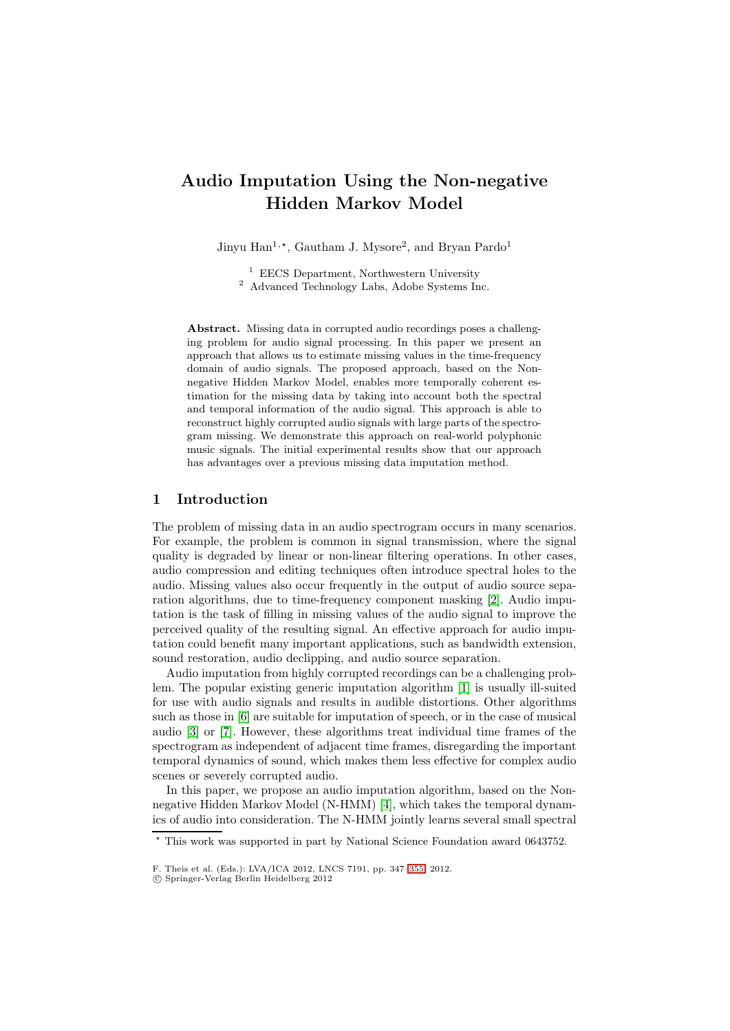# **Audio Imputation Using the Non-negative Hidden Markov Model**

Jinyu Han<sup>1,\*</sup>, Gautham J. Mysore<sup>2</sup>, and Bryan Pardo<sup>1</sup>

<sup>1</sup> EECS Department, Northwestern University

<sup>2</sup> Advanced Technology Labs, Adobe Systems Inc.

**Abstract.** Missing data in corrupted audio recordings poses a challenging problem for audio signal processing. In this paper we present an approach that allows us to estimate missing values in the time-frequency domain of audio signals. The proposed approach, based on the Nonnegative Hidden Markov Model, enables more temporally coherent estimation for the missing data by taking into account both the spectral and temporal information of the audio signal. This approach is able to reconstruct highly corrupted audio signals with large parts of the spectrogram missing. We demonstrate this approach on real-world polyphonic music signals. The initial experimental results show that our approach has advantages over a previous missing data imputation method.

### **1 Introduction**

The problem of missing data in an audio spectrogram occurs in many scenarios. For example, the problem is common in signal transmission, where the signal quality is degraded by linear or non-linear filtering operations. In other cases, audio compression and editing techniques often introduce spectral holes to the audio. Missing values also occur frequently in the output of audio source separation algorithms, due to time-frequency component masking [\[2\]](#page-8-0). Audio imputation is the task of filling in missing values of the audio signal to improve the perceived quality of the resulting signal. An effective approach for audio imputation could benefit many important applications, such as bandwidth extension, sound restoration, audio declipping, and audio source separation.

Audio imputation from highly corrupted recordings can be a challenging problem. The popular existing generic imputation algorithm [\[1\]](#page-8-1) is usually ill-suited for use with audio signals and results in audible distortions. Other algorithms such as those in [\[6\]](#page-8-2) are suitable for imputation of speech, or in the case of musical audio [\[3\]](#page-8-3) or [\[7\]](#page-8-4). However, these algorithms treat individual time frames of the spectrogram as independent of adjacent time frames, disregarding the important temporal dynamics of sound, which makes them less effective for complex audio scenes or severely corrupted audio.

In this paper, we propose an audio imputation algorithm, based on the Nonnegative Hidden Markov Model (N-HMM) [\[4\]](#page-8-5), which takes the temporal dynamics of audio into consideration. The N-HMM jointly learns several small spectral

<sup>\*</sup> This work was supported in part by National Science Foundation award 0643752.

F. Theis et al. (Eds.): LVA/ICA 2012, LNCS 7191, pp. 347[–355,](#page-8-1) 2012.

<sup>-</sup>c Springer-Verlag Berlin Heidelberg 2012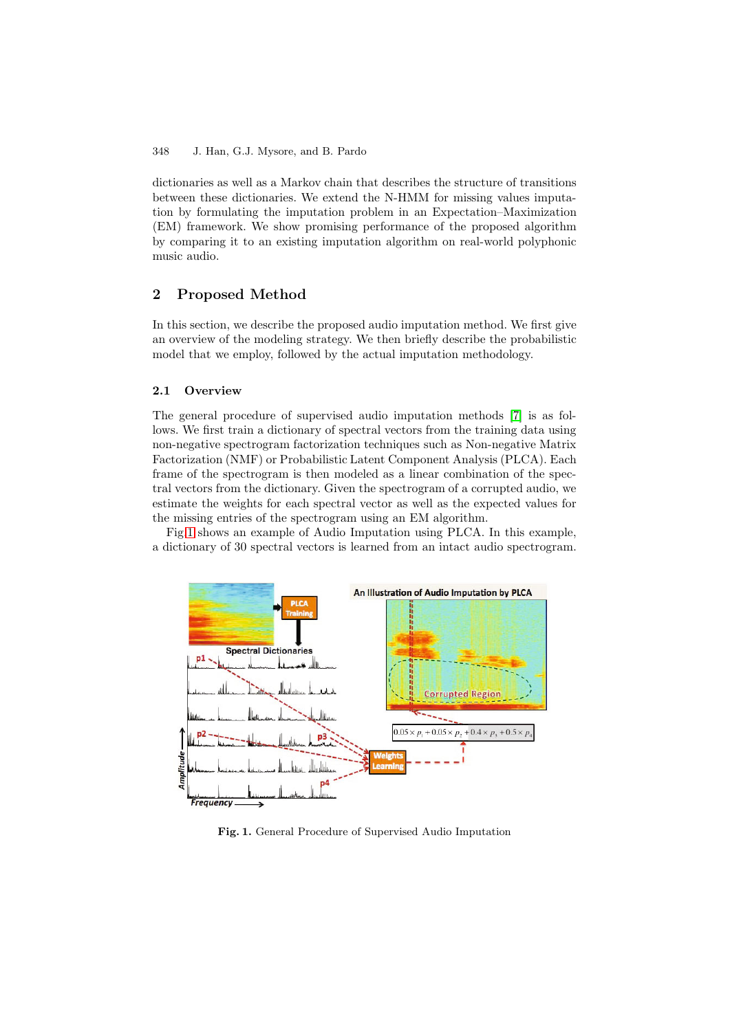dictionaries as well as a Markov chain that describes the structure of transitions between these dictionaries. We extend the N-HMM for missing values imputation by formulating the imputation problem in an Expectation–Maximization (EM) framework. We show promising performance of the proposed algorithm by comparing it to an existing imputation algorithm on real-world polyphonic music audio.

# **2 Proposed Method**

In this section, we describe the proposed audio imputation method. We first give an overview of the modeling strategy. We then briefly describe the probabilistic model that we employ, followed by the actual imputation methodology.

### **2.1 Overview**

The general procedure of supervised audio imputation methods [\[7\]](#page-8-4) is as follows. We first train a dictionary of spectral vectors from the training data using non-negative spectrogram factorization techniques such as Non-negative Matrix Factorization (NMF) or Probabilistic Latent Component Analysis (PLCA). Each frame of the spectrogram is then modeled as a linear combination of the spectral vectors from the dictionary. Given the spectrogram of a corrupted audio, we estimate the weights for each spectral vector as well as the expected values for the missing entries of the spectrogram using an EM algorithm.

Fig[.1](#page-1-0) shows an example of Audio Imputation using PLCA. In this example, a dictionary of 30 spectral vectors is learned from an intact audio spectrogram.



<span id="page-1-0"></span>**Fig. 1.** General Procedure of Supervised Audio Imputation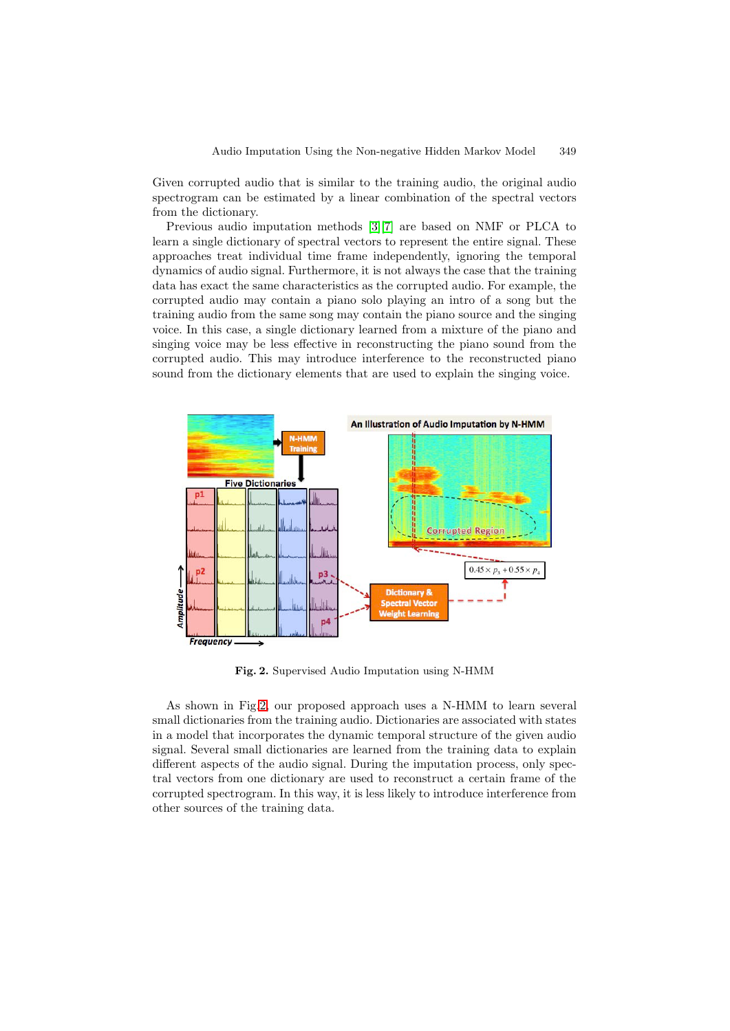Given corrupted audio that is similar to the training audio, the original audio spectrogram can be estimated by a linear combination of the spectral vectors from the dictionary.

Previous audio imputation methods [\[3\]](#page-8-3)[\[7\]](#page-8-4) are based on NMF or PLCA to learn a single dictionary of spectral vectors to represent the entire signal. These approaches treat individual time frame independently, ignoring the temporal dynamics of audio signal. Furthermore, it is not always the case that the training data has exact the same characteristics as the corrupted audio. For example, the corrupted audio may contain a piano solo playing an intro of a song but the training audio from the same song may contain the piano source and the singing voice. In this case, a single dictionary learned from a mixture of the piano and singing voice may be less effective in reconstructing the piano sound from the corrupted audio. This may introduce interference to the reconstructed piano sound from the dictionary elements that are used to explain the singing voice.



<span id="page-2-0"></span>**Fig. 2.** Supervised Audio Imputation using N-HMM

As shown in Fig[.2,](#page-2-0) our proposed approach uses a N-HMM to learn several small dictionaries from the training audio. Dictionaries are associated with states in a model that incorporates the dynamic temporal structure of the given audio signal. Several small dictionaries are learned from the training data to explain different aspects of the audio signal. During the imputation process, only spectral vectors from one dictionary are used to reconstruct a certain frame of the corrupted spectrogram. In this way, it is less likely to introduce interference from other sources of the training data.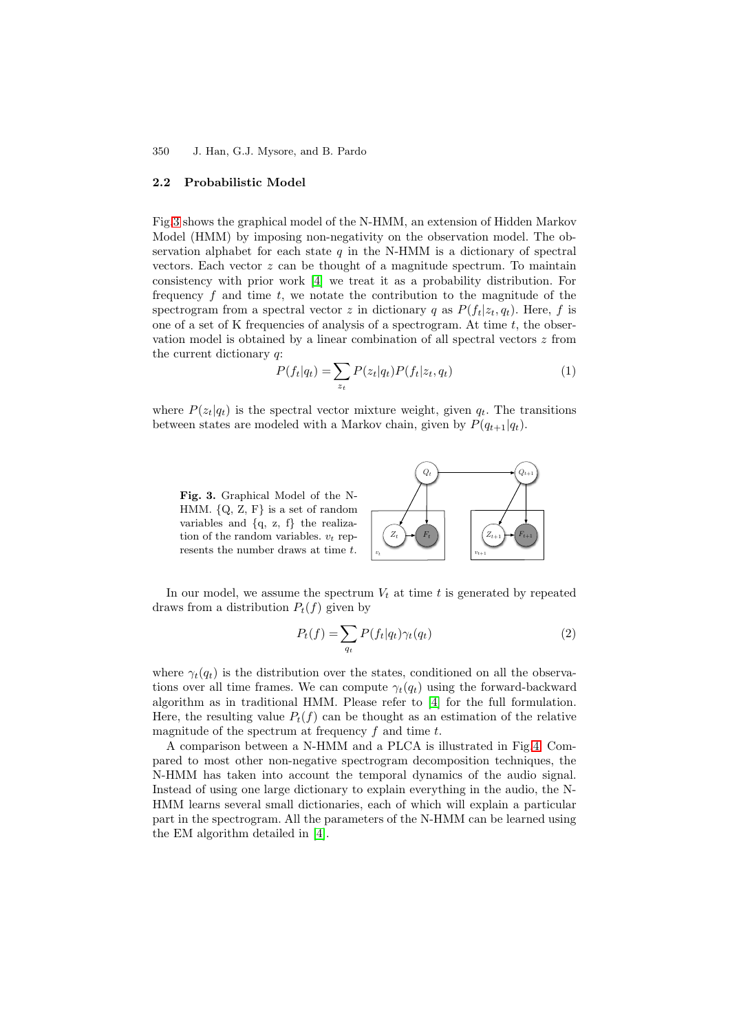### **2.2 Probabilistic Model**

Fig[.3](#page-3-0) shows the graphical model of the N-HMM, an extension of Hidden Markov Model (HMM) by imposing non-negativity on the observation model. The observation alphabet for each state  $q$  in the N-HMM is a dictionary of spectral vectors. Each vector z can be thought of a magnitude spectrum. To maintain consistency with prior work [\[4\]](#page-8-5) we treat it as a probability distribution. For frequency  $f$  and time  $t$ , we notate the contribution to the magnitude of the spectrogram from a spectral vector z in dictionary q as  $P(f_t|z_t, q_t)$ . Here, f is one of a set of K frequencies of analysis of a spectrogram. At time  $t$ , the observation model is obtained by a linear combination of all spectral vectors  $z$  from the current dictionary  $q$ :

$$
P(f_t|q_t) = \sum_{z_t} P(z_t|q_t)P(f_t|z_t, q_t)
$$
\n<sup>(1)</sup>

where  $P(z_t|q_t)$  is the spectral vector mixture weight, given  $q_t$ . The transitions between states are modeled with a Markov chain, given by  $P(q_{t+1}|q_t)$ .

<span id="page-3-0"></span>**Fig. 3.** Graphical Model of the N-HMM. *{*Q, Z, F*}* is a set of random variables and *{*q, z, f*}* the realization of the random variables.  $v_t$  represents the number draws at time *t*.

<span id="page-3-1"></span>

In our model, we assume the spectrum  $V_t$  at time t is generated by repeated draws from a distribution  $P_t(f)$  given by

$$
P_t(f) = \sum_{q_t} P(f_t|q_t) \gamma_t(q_t)
$$
\n(2)

where  $\gamma_t(q_t)$  is the distribution over the states, conditioned on all the observations over all time frames. We can compute  $\gamma_t(q_t)$  using the forward-backward algorithm as in traditional HMM. Please refer to [\[4\]](#page-8-5) for the full formulation. Here, the resulting value  $P_t(f)$  can be thought as an estimation of the relative magnitude of the spectrum at frequency  $f$  and time  $t$ .

A comparison between a N-HMM and a PLCA is illustrated in Fig[.4.](#page-4-0) Compared to most other non-negative spectrogram decomposition techniques, the N-HMM has taken into account the temporal dynamics of the audio signal. Instead of using one large dictionary to explain everything in the audio, the N-HMM learns several small dictionaries, each of which will explain a particular part in the spectrogram. All the parameters of the N-HMM can be learned using the EM algorithm detailed in [\[4\]](#page-8-5).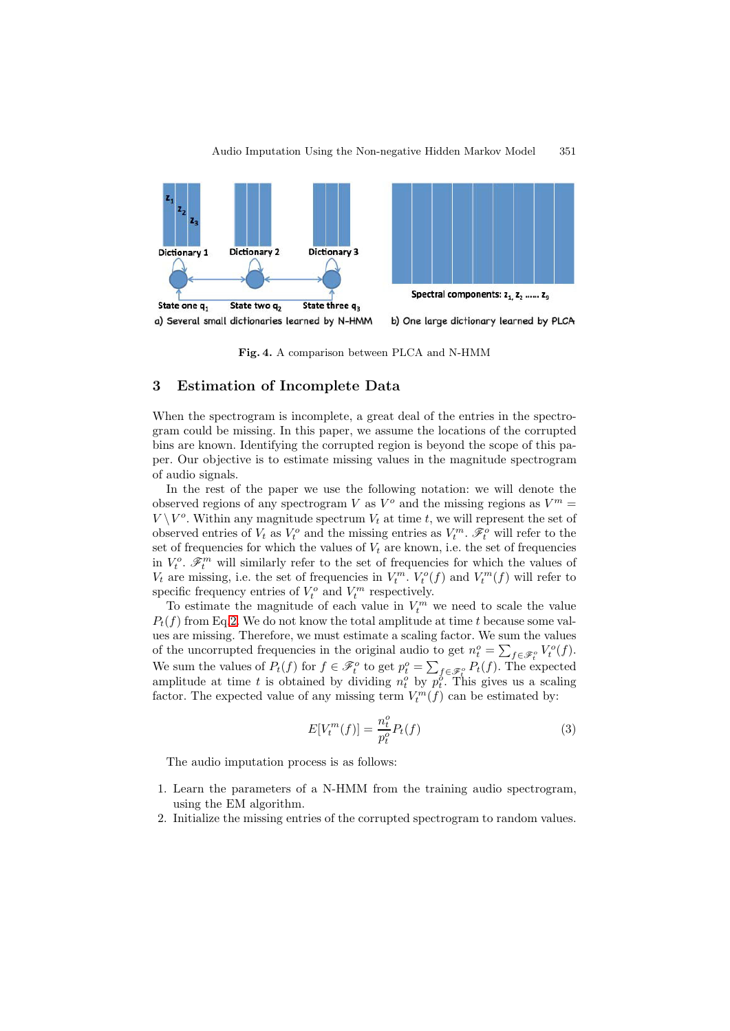

<span id="page-4-0"></span>**Fig. 4.** A comparison between PLCA and N-HMM

## **3 Estimation of Incomplete Data**

When the spectrogram is incomplete, a great deal of the entries in the spectrogram could be missing. In this paper, we assume the locations of the corrupted bins are known. Identifying the corrupted region is beyond the scope of this paper. Our objective is to estimate missing values in the magnitude spectrogram of audio signals.

In the rest of the paper we use the following notation: we will denote the observed regions of any spectrogram V as  $V^{\circ}$  and the missing regions as  $V^m =$  $V \backslash V^o$ . Within any magnitude spectrum  $V_t$  at time t, we will represent the set of observed entries of  $V_t$  as  $V_t^o$  and the missing entries as  $V_t^m$ .  $\mathscr{F}_t^o$  will refer to the set of frequencies for which the values of  $V_t$  are known, i.e. the set of frequencies in  $V_t^o$ .  $\mathscr{F}_t^m$  will similarly refer to the set of frequencies for which the values of  $V_t$  are missing, i.e. the set of frequencies in  $V_t^m$ .  $V_t^o(f)$  and  $V_t^m(f)$  will refer to specific frequency entries of  $V_t^o$  and  $V_t^m$  respectively.

To estimate the magnitude of each value in  $V_t^m$  we need to scale the value  $P_t(f)$  from Eq[.2.](#page-3-1) We do not know the total amplitude at time t because some values are missing. Therefore, we must estimate a scaling factor. We sum the values of the uncorrupted frequencies in the original audio to get  $n_t^o = \sum_{f \in \mathscr{F}_t^o} V_t^o(f)$ . We sum the values of  $P_t(f)$  for  $f \in \mathcal{F}_t^o$  to get  $p_t^o = \sum_{f \in \mathcal{F}_t^o} P_t(f)$ . The expected amplitude at time t is obtained by dividing  $n_t^o$  by  $p_t^o$ . This gives us a scaling factor. The expected value of any missing term  $V_t^m(f)$  can be estimated by:

<span id="page-4-1"></span>
$$
E[V_t^m(f)] = \frac{n_t^o}{p_t^o} P_t(f)
$$
\n
$$
\tag{3}
$$

The audio imputation process is as follows:

- 1. Learn the parameters of a N-HMM from the training audio spectrogram, using the EM algorithm.
- 2. Initialize the missing entries of the corrupted spectrogram to random values.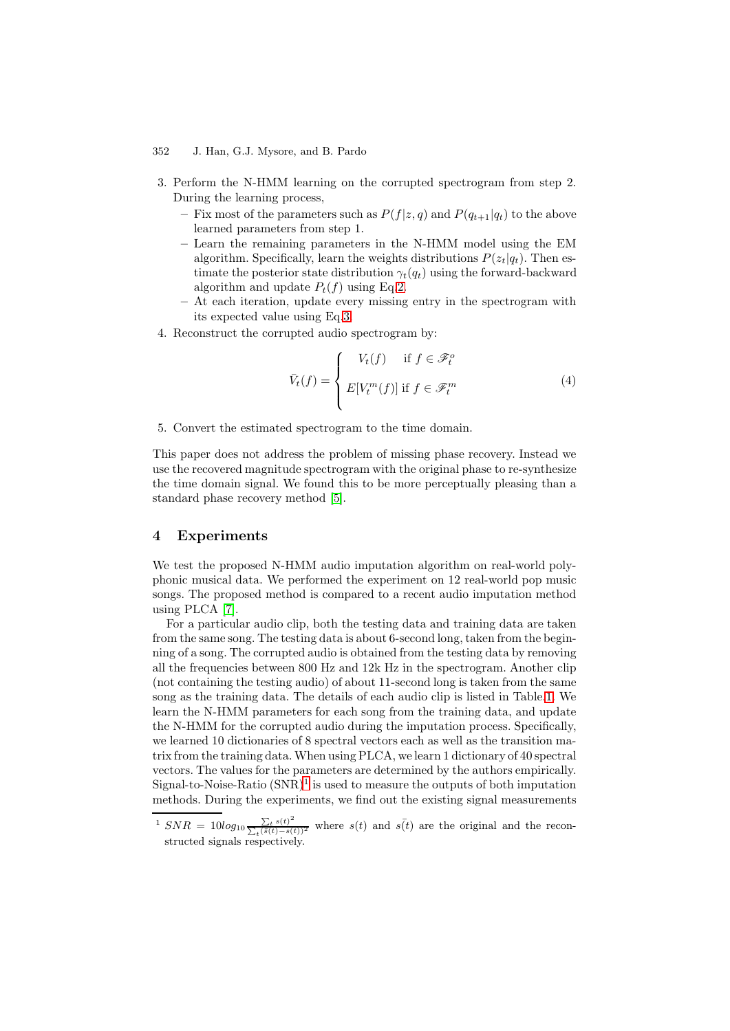- 3. Perform the N-HMM learning on the corrupted spectrogram from step 2. During the learning process,
	- Fix most of the parameters such as  $P(f|z, q)$  and  $P(q_{t+1}|q_t)$  to the above learned parameters from step 1.
	- **–** Learn the remaining parameters in the N-HMM model using the EM algorithm. Specifically, learn the weights distributions  $P(z_t|q_t)$ . Then estimate the posterior state distribution  $\gamma_t(q_t)$  using the forward-backward algorithm and update  $P_t(f)$  using Eq[.2.](#page-3-1)
	- **–** At each iteration, update every missing entry in the spectrogram with its expected value using Eq[.3.](#page-4-1)
- 4. Reconstruct the corrupted audio spectrogram by:

$$
\bar{V}_t(f) = \begin{cases} V_t(f) & \text{if } f \in \mathcal{F}_t^o \\ E[V_t^m(f)] & \text{if } f \in \mathcal{F}_t^m \end{cases}
$$
\n(4)

5. Convert the estimated spectrogram to the time domain.

This paper does not address the problem of missing phase recovery. Instead we use the recovered magnitude spectrogram with the original phase to re-synthesize the time domain signal. We found this to be more perceptually pleasing than a standard phase recovery method [\[5\]](#page-8-6).

## **4 Experiments**

We test the proposed N-HMM audio imputation algorithm on real-world polyphonic musical data. We performed the experiment on 12 real-world pop music songs. The proposed method is compared to a recent audio imputation method using PLCA [\[7\]](#page-8-4).

For a particular audio clip, both the testing data and training data are taken from the same song. The testing data is about 6-second long, taken from the beginning of a song. The corrupted audio is obtained from the testing data by removing all the frequencies between 800 Hz and 12k Hz in the spectrogram. Another clip (not containing the testing audio) of about 11-second long is taken from the same song as the training data. The details of each audio clip is listed in Table[.1.](#page-7-0) We learn the N-HMM parameters for each song from the training data, and update the N-HMM for the corrupted audio during the imputation process. Specifically, we learned 10 dictionaries of 8 spectral vectors each as well as the transition matrix from the training data. When using PLCA, we learn 1 dictionary of 40 spectral vectors. The values for the parameters are determined by the authors empirically. Signal-to-Noise-Ratio  $(SNR)^1$  $(SNR)^1$  is used to measure the outputs of both imputation methods. During the experiments, we find out the existing signal measurements

<span id="page-5-0"></span><sup>&</sup>lt;sup>1</sup>  $SNR = 10log_{10} \frac{\sum_{t} s(t)^2}{\sum_{t} (\bar{s}(t) - s(t))}$  $\frac{\sum_{t} s(t)^2}{t^{\overline{(s(t)} - s(t))^2}}$  where  $s(t)$  and  $s(t)$  are the original and the reconstructed signals respectively.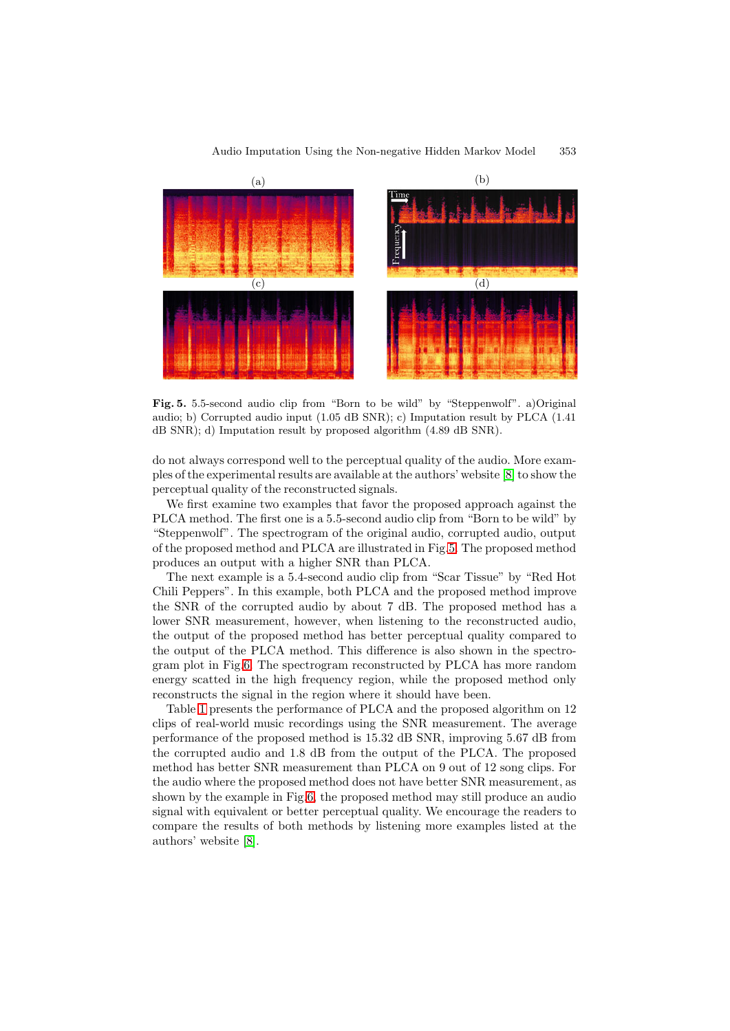

Audio Imputation Using the Non-negative Hidden Markov Model 353

<span id="page-6-0"></span>**Fig. 5.** 5.5-second audio clip from "Born to be wild" by "Steppenwolf". a)Original audio; b) Corrupted audio input (1.05 dB SNR); c) Imputation result by PLCA (1.41 dB SNR); d) Imputation result by proposed algorithm (4.89 dB SNR).

do not always correspond well to the perceptual quality of the audio. More examples of the experimental results are available at the authors' website [\[8\]](#page-8-7) to show the perceptual quality of the reconstructed signals.

We first examine two examples that favor the proposed approach against the PLCA method. The first one is a 5.5-second audio clip from "Born to be wild" by "Steppenwolf". The spectrogram of the original audio, corrupted audio, output of the proposed method and PLCA are illustrated in Fig[.5.](#page-6-0) The proposed method produces an output with a higher SNR than PLCA.

The next example is a 5.4-second audio clip from "Scar Tissue" by "Red Hot Chili Peppers". In this example, both PLCA and the proposed method improve the SNR of the corrupted audio by about 7 dB. The proposed method has a lower SNR measurement, however, when listening to the reconstructed audio, the output of the proposed method has better perceptual quality compared to the output of the PLCA method. This difference is also shown in the spectrogram plot in Fig[.6.](#page-7-1) The spectrogram reconstructed by PLCA has more random energy scatted in the high frequency region, while the proposed method only reconstructs the signal in the region where it should have been.

Table [1](#page-7-0) presents the performance of PLCA and the proposed algorithm on 12 clips of real-world music recordings using the SNR measurement. The average performance of the proposed method is 15.32 dB SNR, improving 5.67 dB from the corrupted audio and 1.8 dB from the output of the PLCA. The proposed method has better SNR measurement than PLCA on 9 out of 12 song clips. For the audio where the proposed method does not have better SNR measurement, as shown by the example in Fig[.6,](#page-7-1) the proposed method may still produce an audio signal with equivalent or better perceptual quality. We encourage the readers to compare the results of both methods by listening more examples listed at the authors' website [\[8\]](#page-8-7).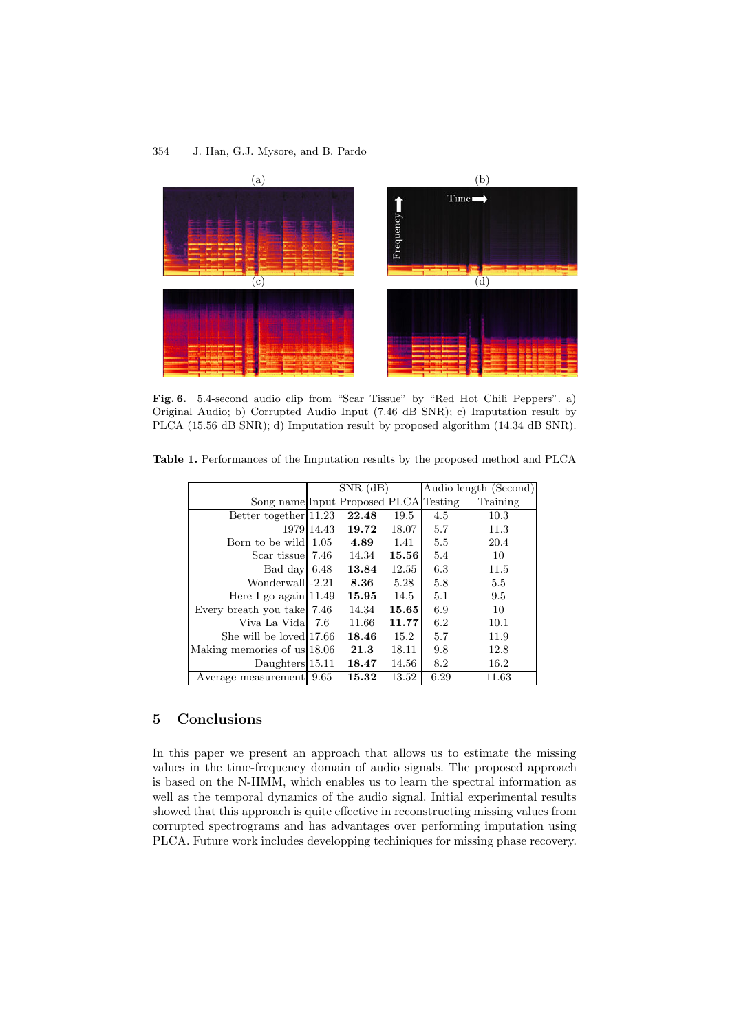

<span id="page-7-1"></span>Fig. 6. 5.4-second audio clip from "Scar Tissue" by "Red Hot Chili Peppers". a) Original Audio; b) Corrupted Audio Input (7.46 dB SNR); c) Imputation result by PLCA (15.56 dB SNR); d) Imputation result by proposed algorithm (14.34 dB SNR).

|                                       | $SNR$ (dB) |       |       | Audio length (Second) |          |
|---------------------------------------|------------|-------|-------|-----------------------|----------|
| Song name Input Proposed PLCA Testing |            |       |       |                       | Training |
| Better together 11.23                 |            | 22.48 | 19.5  | 4.5                   | 10.3     |
|                                       | 1979 14.43 | 19.72 | 18.07 | 5.7                   | 11.3     |
| Born to be wild                       | 1.05       | 4.89  | 1.41  | 5.5                   | 20.4     |
| Scar tissue 7.46                      |            | 14.34 | 15.56 | 5.4                   | 10       |
| Bad day 6.48                          |            | 13.84 | 12.55 | 6.3                   | 11.5     |
| Wonderwall - 2.21                     |            | 8.36  | 5.28  | 5.8                   | 5.5      |
| Here I go again $11.49$               |            | 15.95 | 14.5  | 5.1                   | 9.5      |
| Every breath you take 7.46            |            | 14.34 | 15.65 | 6.9                   | 10       |
| Viva La Vidal                         | -7.6       | 11.66 | 11.77 | 6.2                   | 10.1     |
| She will be loved 17.66               |            | 18.46 | 15.2  | 5.7                   | 11.9     |
| Making memories of us 18.06           |            | 21.3  | 18.11 | 9.8                   | 12.8     |
| Daughters $15.11$                     |            | 18.47 | 14.56 | 8.2                   | 16.2     |
| Average measurement                   | 9.65       | 15.32 | 13.52 | 6.29                  | 11.63    |
|                                       |            |       |       |                       |          |

<span id="page-7-0"></span>**Table 1.** Performances of the Imputation results by the proposed method and PLCA

# **5 Conclusions**

In this paper we present an approach that allows us to estimate the missing values in the time-frequency domain of audio signals. The proposed approach is based on the N-HMM, which enables us to learn the spectral information as well as the temporal dynamics of the audio signal. Initial experimental results showed that this approach is quite effective in reconstructing missing values from corrupted spectrograms and has advantages over performing imputation using PLCA. Future work includes developping techiniques for missing phase recovery.